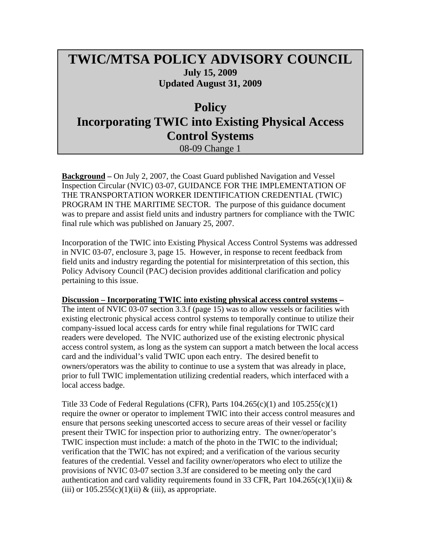## **TWIC/MTSA POLICY ADVISORY COUNCIL July 15, 2009 Updated August 31, 2009**

## **Policy Incorporating TWIC into Existing Physical Access Control Systems**

08-09 Change 1

**Background –** On July 2, 2007, the Coast Guard published Navigation and Vessel Inspection Circular (NVIC) 03-07, GUIDANCE FOR THE IMPLEMENTATION OF THE TRANSPORTATION WORKER IDENTIFICATION CREDENTIAL (TWIC) PROGRAM IN THE MARITIME SECTOR. The purpose of this guidance document was to prepare and assist field units and industry partners for compliance with the TWIC final rule which was published on January 25, 2007.

Incorporation of the TWIC into Existing Physical Access Control Systems was addressed in NVIC 03-07, enclosure 3, page 15. However, in response to recent feedback from field units and industry regarding the potential for misinterpretation of this section, this Policy Advisory Council (PAC) decision provides additional clarification and policy pertaining to this issue.

## **Discussion – Incorporating TWIC into existing physical access control systems –**

The intent of NVIC 03-07 section 3.3.f (page 15) was to allow vessels or facilities with existing electronic physical access control systems to temporally continue to utilize their company-issued local access cards for entry while final regulations for TWIC card readers were developed. The NVIC authorized use of the existing electronic physical access control system, as long as the system can support a match between the local access card and the individual's valid TWIC upon each entry. The desired benefit to owners/operators was the ability to continue to use a system that was already in place, prior to full TWIC implementation utilizing credential readers, which interfaced with a local access badge.

Title 33 Code of Federal Regulations (CFR), Parts  $104.265(c)(1)$  and  $105.255(c)(1)$ require the owner or operator to implement TWIC into their access control measures and ensure that persons seeking unescorted access to secure areas of their vessel or facility present their TWIC for inspection prior to authorizing entry. The owner/operator's TWIC inspection must include: a match of the photo in the TWIC to the individual; verification that the TWIC has not expired; and a verification of the various security features of the credential. Vessel and facility owner/operators who elect to utilize the provisions of NVIC 03-07 section 3.3f are considered to be meeting only the card authentication and card validity requirements found in 33 CFR, Part  $104.265(c)(1)(ii)$  & (iii) or  $105.255(c)(1)(ii)$  & (iii), as appropriate.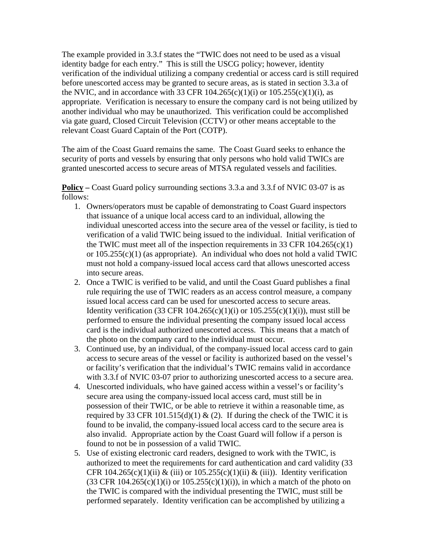The example provided in 3.3.f states the "TWIC does not need to be used as a visual identity badge for each entry." This is still the USCG policy; however, identity verification of the individual utilizing a company credential or access card is still required before unescorted access may be granted to secure areas, as is stated in section 3.3.a of the NVIC, and in accordance with 33 CFR  $104.265(c)(1)(i)$  or  $105.255(c)(1)(i)$ , as appropriate. Verification is necessary to ensure the company card is not being utilized by another individual who may be unauthorized. This verification could be accomplished via gate guard, Closed Circuit Television (CCTV) or other means acceptable to the relevant Coast Guard Captain of the Port (COTP).

The aim of the Coast Guard remains the same. The Coast Guard seeks to enhance the security of ports and vessels by ensuring that only persons who hold valid TWICs are granted unescorted access to secure areas of MTSA regulated vessels and facilities.

**Policy –** Coast Guard policy surrounding sections 3.3.a and 3.3.f of NVIC 03-07 is as follows:

- 1. Owners/operators must be capable of demonstrating to Coast Guard inspectors that issuance of a unique local access card to an individual, allowing the individual unescorted access into the secure area of the vessel or facility, is tied to verification of a valid TWIC being issued to the individual. Initial verification of the TWIC must meet all of the inspection requirements in 33 CFR  $104.265(c)(1)$ or  $105.255(c)(1)$  (as appropriate). An individual who does not hold a valid TWIC must not hold a company-issued local access card that allows unescorted access into secure areas.
- 2. Once a TWIC is verified to be valid, and until the Coast Guard publishes a final rule requiring the use of TWIC readers as an access control measure, a company issued local access card can be used for unescorted access to secure areas. Identity verification (33 CFR  $104.265(c)(1)(i)$  or  $105.255(c)(1)(i)$ ), must still be performed to ensure the individual presenting the company issued local access card is the individual authorized unescorted access. This means that a match of the photo on the company card to the individual must occur.
- 3. Continued use, by an individual, of the company-issued local access card to gain access to secure areas of the vessel or facility is authorized based on the vessel's or facility's verification that the individual's TWIC remains valid in accordance with 3.3.f of NVIC 03-07 prior to authorizing unescorted access to a secure area.
- 4. Unescorted individuals, who have gained access within a vessel's or facility's secure area using the company-issued local access card, must still be in possession of their TWIC, or be able to retrieve it within a reasonable time, as required by 33 CFR 101.515(d)(1)  $\&$  (2). If during the check of the TWIC it is found to be invalid, the company-issued local access card to the secure area is also invalid. Appropriate action by the Coast Guard will follow if a person is found to not be in possession of a valid TWIC.
- 5. Use of existing electronic card readers, designed to work with the TWIC, is authorized to meet the requirements for card authentication and card validity (33 CFR 104.265(c)(1)(ii) & (iii) or  $105.255(c)(1)(ii)$  & (iii)). Identity verification  $(33 \text{ CFR } 104.265(c)(1)(i) \text{ or } 105.255(c)(1)(i))$ , in which a match of the photo on the TWIC is compared with the individual presenting the TWIC, must still be performed separately. Identity verification can be accomplished by utilizing a